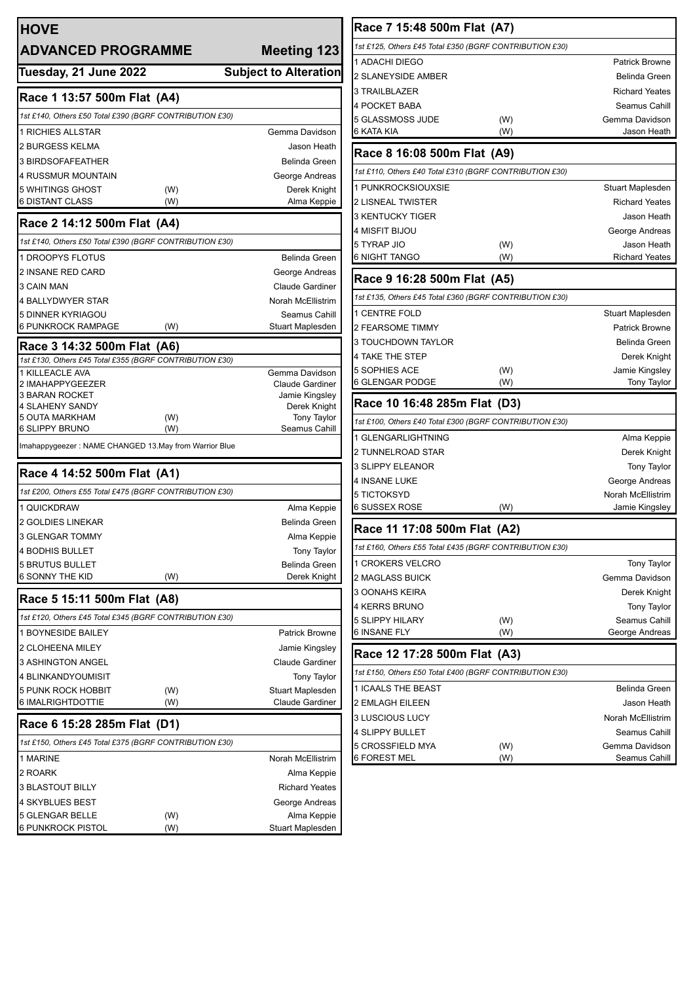| <b>HOVE</b><br><b>ADVANCED PROGRAMME</b>                                               |     | <b>Meeting 123</b>                 |
|----------------------------------------------------------------------------------------|-----|------------------------------------|
| Tuesday, 21 June 2022                                                                  |     | <b>Subject to Alteration</b>       |
| Race 1 13:57 500m Flat (A4)                                                            |     |                                    |
| 1st £140, Others £50 Total £390 (BGRF CONTRIBUTION £30)                                |     |                                    |
| <b>1 RICHIES ALLSTAR</b>                                                               |     | Gemma Davidson                     |
| 2 BURGESS KELMA                                                                        |     | Jason Heath                        |
| 3 BIRDSOFAFEATHER                                                                      |     | <b>Belinda Green</b>               |
| 4 RUSSMUR MOUNTAIN                                                                     |     | George Andreas                     |
| 5 WHITINGS GHOST                                                                       | (W) | Derek Knight                       |
| 6 DISTANT CLASS                                                                        | (W) | Alma Keppie                        |
| Race 2 14:12 500m Flat (A4)                                                            |     |                                    |
| 1st £140, Others £50 Total £390 (BGRF CONTRIBUTION £30)                                |     |                                    |
| 1 DROOPYS FLOTUS                                                                       |     | <b>Belinda Green</b>               |
| <b>2 INSANE RED CARD</b>                                                               |     | George Andreas                     |
| 3 CAIN MAN                                                                             |     | <b>Claude Gardiner</b>             |
| <b>4 BALLYDWYER STAR</b>                                                               |     | Norah McEllistrim                  |
| 5 DINNER KYRIAGOU                                                                      |     | Seamus Cahill                      |
| 6 PUNKROCK RAMPAGE                                                                     | (W) | Stuart Maplesden                   |
| Race 3 14:32 500m Flat (A6)<br>1st £130, Others £45 Total £355 (BGRF CONTRIBUTION £30) |     |                                    |
| 1 KILLEACLE AVA                                                                        |     | Gemma Davidson                     |
| 2 IMAHAPPYGEEZER                                                                       |     | <b>Claude Gardiner</b>             |
| 3 BARAN ROCKET                                                                         |     | Jamie Kingsley                     |
| 4 SLAHENY SANDY<br>5 OUTA MARKHAM                                                      | (W) | Derek Knight<br><b>Tony Taylor</b> |
| 6 SLIPPY BRUNO                                                                         | (W) | Seamus Cahill                      |
| Imahappygeezer: NAME CHANGED 13.May from Warrior Blue                                  |     |                                    |
| Race 4 14:52 500m Flat (A1)                                                            |     |                                    |
| 1st £200, Others £55 Total £475 (BGRF CONTRIBUTION £30)                                |     |                                    |
| 1 QUICKDRAW                                                                            |     | Alma Keppie                        |
| 2 GOLDIES LINEKAR                                                                      |     | <b>Belinda Green</b>               |
| 3 GLENGAR TOMMY                                                                        |     | Alma Keppie                        |
| 4 BODHIS BULLET                                                                        |     | <b>Tony Taylor</b>                 |
| <b>5 BRUTUS BULLET</b>                                                                 |     | Belinda Green                      |
| 6 SONNY THE KID                                                                        | (W) | Derek Knight                       |
| Race 5 15:11 500m Flat (A8)                                                            |     |                                    |
| 1st £120, Others £45 Total £345 (BGRF CONTRIBUTION £30)                                |     |                                    |
| 1 BOYNESIDE BAILEY                                                                     |     | <b>Patrick Browne</b>              |
| 2 CLOHEENA MILEY                                                                       |     | Jamie Kingsley                     |
| 3 ASHINGTON ANGEL                                                                      |     | <b>Claude Gardiner</b>             |
| 4 BLINKANDYOUMISIT                                                                     |     | <b>Tony Taylor</b>                 |
| 5 PUNK ROCK HOBBIT                                                                     | (W) | Stuart Maplesden                   |
| 6 IMALRIGHTDOTTIE                                                                      | (W) | <b>Claude Gardiner</b>             |
| Race 6 15:28 285m Flat (D1)                                                            |     |                                    |
| 1st £150, Others £45 Total £375 (BGRF CONTRIBUTION £30)                                |     |                                    |
| 1 MARINE                                                                               |     | Norah McEllistrim                  |
| 2 ROARK                                                                                |     | Alma Keppie                        |
| 3 BLASTOUT BILLY                                                                       |     | <b>Richard Yeates</b>              |
| 4 SKYBLUES BEST                                                                        |     | George Andreas                     |
| 5 GLENGAR BELLE                                                                        | (W) | Alma Keppie                        |
| 6 PUNKROCK PISTOL                                                                      | (W) | Stuart Maplesden                   |

| Race 7 15:48 500m Flat (A7)                             |     |                       |
|---------------------------------------------------------|-----|-----------------------|
| 1st £125, Others £45 Total £350 (BGRF CONTRIBUTION £30) |     |                       |
| 1 ADACHI DIEGO                                          |     | <b>Patrick Browne</b> |
| 2 SLANEYSIDE AMBER                                      |     | Belinda Green         |
| 3 TRAILBLAZER                                           |     | <b>Richard Yeates</b> |
| 4 POCKET BABA                                           |     | Seamus Cahill         |
| 5 GLASSMOSS JUDE                                        | (W) | Gemma Davidson        |
| 6 KATA KIA                                              | (W) | Jason Heath           |
| Race 8 16:08 500m Flat (A9)                             |     |                       |
| 1st £110, Others £40 Total £310 (BGRF CONTRIBUTION £30) |     |                       |
| 1 PUNKROCKSIOUXSIE                                      |     | Stuart Maplesden      |
| 2 LISNEAL TWISTER                                       |     | <b>Richard Yeates</b> |
| 3 KENTUCKY TIGER                                        |     | Jason Heath           |
| 4 MISFIT BIJOU                                          |     | George Andreas        |
| 5 TYRAP JIO                                             | (W) | Jason Heath           |
| 6 NIGHT TANGO                                           | (W) | <b>Richard Yeates</b> |
| Race 9 16:28 500m Flat (A5)                             |     |                       |
| 1st £135, Others £45 Total £360 (BGRF CONTRIBUTION £30) |     |                       |
| <b>1 CENTRE FOLD</b>                                    |     | Stuart Maplesden      |
| 2 FEARSOME TIMMY                                        |     | <b>Patrick Browne</b> |
| 3 TOUCHDOWN TAYLOR                                      |     | Belinda Green         |
| 4 TAKE THE STEP                                         |     | Derek Knight          |
| 5 SOPHIES ACE                                           | (W) | Jamie Kingsley        |
| 6 GLENGAR PODGE                                         | (W) | <b>Tony Taylor</b>    |
| Race 10 16:48 285m Flat (D3)                            |     |                       |
| 1st £100, Others £40 Total £300 (BGRF CONTRIBUTION £30) |     |                       |
| 1 GLENGARLIGHTNING                                      |     | Alma Keppie           |
| 2 TUNNELROAD STAR                                       |     | Derek Knight          |
| 3 SLIPPY ELEANOR                                        |     | <b>Tony Taylor</b>    |
| 4 INSANE LUKE                                           |     | George Andreas        |
| 5 TICTOKSYD                                             |     | Norah McEllistrim     |
| 6 SUSSEX ROSE                                           | (W) | Jamie Kingsley        |
| Race 11 17:08 500m Flat (A2)                            |     |                       |
| 1st £160, Others £55 Total £435 (BGRF CONTRIBUTION £30) |     |                       |
| 1 CROKERS VELCRO                                        |     | Tony Taylor           |
| <b>2 MAGLASS BUICK</b>                                  |     | Gemma Davidson        |
| 3 OONAHS KEIRA                                          |     | Derek Knight          |
| 4 KERRS BRUNO                                           |     | Tony Taylor           |
| <b>5 SLIPPY HILARY</b>                                  | (W) | Seamus Cahill         |
| 6 INSANE FLY                                            | (W) | George Andreas        |
| Race 12 17:28 500m Flat (A3)                            |     |                       |
| 1st £150, Others £50 Total £400 (BGRF CONTRIBUTION £30) |     |                       |
| 1 ICAALS THE BEAST                                      |     | <b>Belinda Green</b>  |
| 2 EMLAGH EILEEN                                         |     | Jason Heath           |
| 3 LUSCIOUS LUCY                                         |     | Norah McEllistrim     |
| 4 SLIPPY BULLET                                         |     | Seamus Cahill         |
| 5 CROSSFIELD MYA                                        | (W) | Gemma Davidson        |
| 6 FOREST MEL                                            | (W) | Seamus Cahill         |